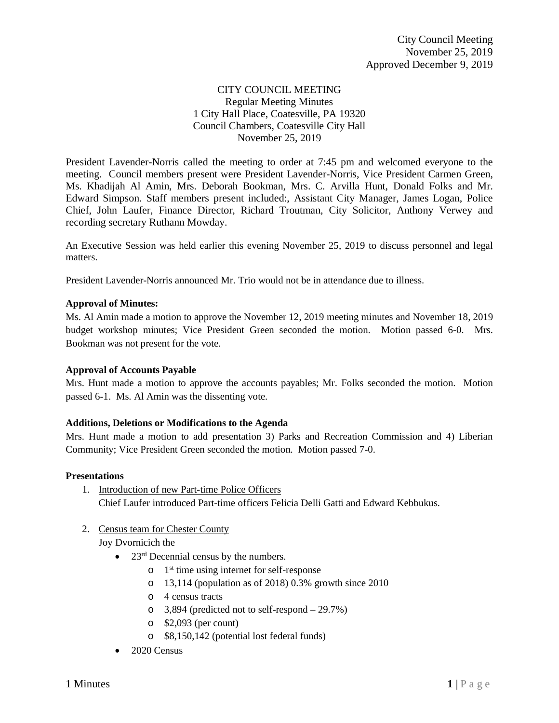# CITY COUNCIL MEETING Regular Meeting Minutes 1 City Hall Place, Coatesville, PA 19320 Council Chambers, Coatesville City Hall November 25, 2019

President Lavender-Norris called the meeting to order at 7:45 pm and welcomed everyone to the meeting. Council members present were President Lavender-Norris, Vice President Carmen Green, Ms. Khadijah Al Amin, Mrs. Deborah Bookman, Mrs. C. Arvilla Hunt, Donald Folks and Mr. Edward Simpson. Staff members present included:, Assistant City Manager, James Logan, Police Chief, John Laufer, Finance Director, Richard Troutman, City Solicitor, Anthony Verwey and recording secretary Ruthann Mowday.

An Executive Session was held earlier this evening November 25, 2019 to discuss personnel and legal matters.

President Lavender-Norris announced Mr. Trio would not be in attendance due to illness.

# **Approval of Minutes:**

Ms. Al Amin made a motion to approve the November 12, 2019 meeting minutes and November 18, 2019 budget workshop minutes; Vice President Green seconded the motion. Motion passed 6-0. Mrs. Bookman was not present for the vote.

# **Approval of Accounts Payable**

Mrs. Hunt made a motion to approve the accounts payables; Mr. Folks seconded the motion. Motion passed 6-1. Ms. Al Amin was the dissenting vote.

#### **Additions, Deletions or Modifications to the Agenda**

Mrs. Hunt made a motion to add presentation 3) Parks and Recreation Commission and 4) Liberian Community; Vice President Green seconded the motion. Motion passed 7-0.

#### **Presentations**

- 1. Introduction of new Part-time Police Officers Chief Laufer introduced Part-time officers Felicia Delli Gatti and Edward Kebbukus.
- 2. Census team for Chester County Joy Dvornicich the
	- $23<sup>rd</sup>$  Decennial census by the numbers.
		- $\circ$  1<sup>st</sup> time using internet for self-response
		- o 13,114 (population as of 2018) 0.3% growth since 2010
		- o 4 census tracts
		- o 3,894 (predicted not to self-respond 29.7%)
		- o \$2,093 (per count)
		- o \$8,150,142 (potential lost federal funds)
	- 2020 Census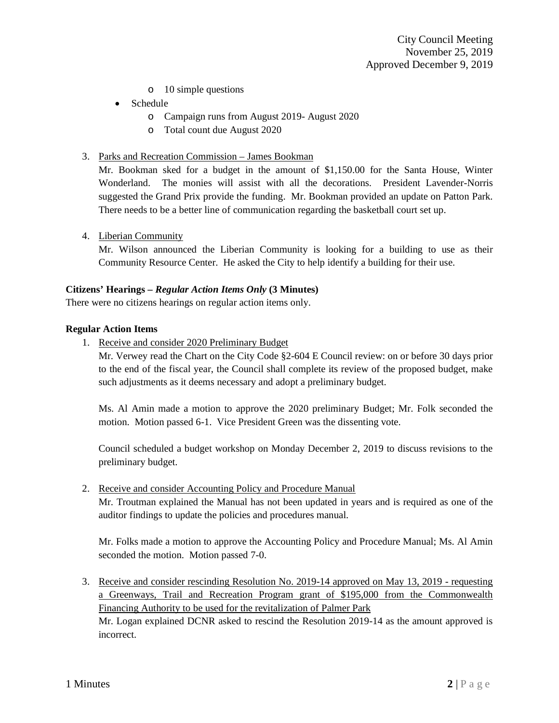- o 10 simple questions
- Schedule
	- o Campaign runs from August 2019- August 2020
	- o Total count due August 2020
- 3. Parks and Recreation Commission James Bookman

Mr. Bookman sked for a budget in the amount of \$1,150.00 for the Santa House, Winter Wonderland. The monies will assist with all the decorations. President Lavender-Norris suggested the Grand Prix provide the funding. Mr. Bookman provided an update on Patton Park. There needs to be a better line of communication regarding the basketball court set up.

4. Liberian Community

Mr. Wilson announced the Liberian Community is looking for a building to use as their Community Resource Center. He asked the City to help identify a building for their use.

# **Citizens' Hearings –** *Regular Action Items Only* **(3 Minutes)**

There were no citizens hearings on regular action items only.

#### **Regular Action Items**

1. Receive and consider 2020 Preliminary Budget

Mr. Verwey read the Chart on the City Code §2-604 E Council review: on or before 30 days prior to the end of the fiscal year, the Council shall complete its review of the proposed budget, make such adjustments as it deems necessary and adopt a preliminary budget.

Ms. Al Amin made a motion to approve the 2020 preliminary Budget; Mr. Folk seconded the motion. Motion passed 6-1. Vice President Green was the dissenting vote.

Council scheduled a budget workshop on Monday December 2, 2019 to discuss revisions to the preliminary budget.

2. Receive and consider Accounting Policy and Procedure Manual

Mr. Troutman explained the Manual has not been updated in years and is required as one of the auditor findings to update the policies and procedures manual.

Mr. Folks made a motion to approve the Accounting Policy and Procedure Manual; Ms. Al Amin seconded the motion. Motion passed 7-0.

3. Receive and consider rescinding Resolution No. 2019-14 approved on May 13, 2019 - requesting a Greenways, Trail and Recreation Program grant of \$195,000 from the Commonwealth Financing Authority to be used for the revitalization of Palmer Park

Mr. Logan explained DCNR asked to rescind the Resolution 2019-14 as the amount approved is incorrect.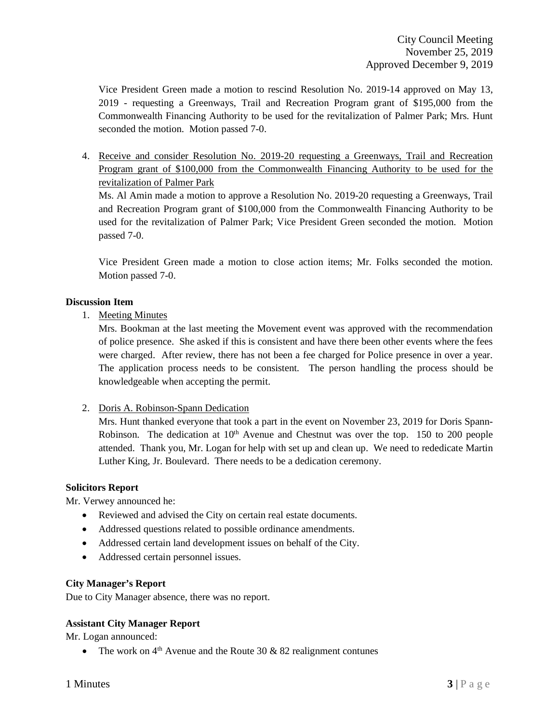Vice President Green made a motion to rescind Resolution No. 2019-14 approved on May 13, 2019 - requesting a Greenways, Trail and Recreation Program grant of \$195,000 from the Commonwealth Financing Authority to be used for the revitalization of Palmer Park; Mrs. Hunt seconded the motion. Motion passed 7-0.

4. Receive and consider Resolution No. 2019-20 requesting a Greenways, Trail and Recreation Program grant of \$100,000 from the Commonwealth Financing Authority to be used for the revitalization of Palmer Park

Ms. Al Amin made a motion to approve a Resolution No. 2019-20 requesting a Greenways, Trail and Recreation Program grant of \$100,000 from the Commonwealth Financing Authority to be used for the revitalization of Palmer Park; Vice President Green seconded the motion. Motion passed 7-0.

Vice President Green made a motion to close action items; Mr. Folks seconded the motion. Motion passed 7-0.

# **Discussion Item**

1. Meeting Minutes

Mrs. Bookman at the last meeting the Movement event was approved with the recommendation of police presence. She asked if this is consistent and have there been other events where the fees were charged. After review, there has not been a fee charged for Police presence in over a year. The application process needs to be consistent. The person handling the process should be knowledgeable when accepting the permit.

2. Doris A. Robinson-Spann Dedication

Mrs. Hunt thanked everyone that took a part in the event on November 23, 2019 for Doris Spann-Robinson. The dedication at  $10<sup>th</sup>$  Avenue and Chestnut was over the top. 150 to 200 people attended. Thank you, Mr. Logan for help with set up and clean up. We need to rededicate Martin Luther King, Jr. Boulevard. There needs to be a dedication ceremony.

# **Solicitors Report**

Mr. Verwey announced he:

- Reviewed and advised the City on certain real estate documents.
- Addressed questions related to possible ordinance amendments.
- Addressed certain land development issues on behalf of the City.
- Addressed certain personnel issues.

# **City Manager's Report**

Due to City Manager absence, there was no report.

# **Assistant City Manager Report**

Mr. Logan announced:

• The work on  $4<sup>th</sup>$  Avenue and the Route 30 & 82 realignment contunes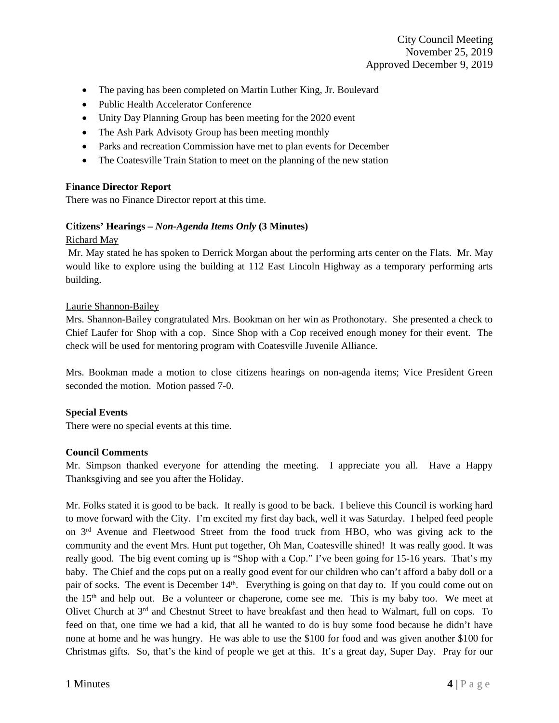- The paving has been completed on Martin Luther King, Jr. Boulevard
- Public Health Accelerator Conference
- Unity Day Planning Group has been meeting for the 2020 event
- The Ash Park Advisoty Group has been meeting monthly
- Parks and recreation Commission have met to plan events for December
- The Coatesville Train Station to meet on the planning of the new station

# **Finance Director Report**

There was no Finance Director report at this time.

# **Citizens' Hearings –** *Non-Agenda Items Only* **(3 Minutes)**

#### Richard May

Mr. May stated he has spoken to Derrick Morgan about the performing arts center on the Flats. Mr. May would like to explore using the building at 112 East Lincoln Highway as a temporary performing arts building.

#### Laurie Shannon-Bailey

Mrs. Shannon-Bailey congratulated Mrs. Bookman on her win as Prothonotary. She presented a check to Chief Laufer for Shop with a cop. Since Shop with a Cop received enough money for their event. The check will be used for mentoring program with Coatesville Juvenile Alliance.

Mrs. Bookman made a motion to close citizens hearings on non-agenda items; Vice President Green seconded the motion. Motion passed 7-0.

# **Special Events**

There were no special events at this time.

#### **Council Comments**

Mr. Simpson thanked everyone for attending the meeting. I appreciate you all. Have a Happy Thanksgiving and see you after the Holiday.

Mr. Folks stated it is good to be back. It really is good to be back. I believe this Council is working hard to move forward with the City. I'm excited my first day back, well it was Saturday. I helped feed people on 3rd Avenue and Fleetwood Street from the food truck from HBO, who was giving ack to the community and the event Mrs. Hunt put together, Oh Man, Coatesville shined! It was really good. It was really good. The big event coming up is "Shop with a Cop." I've been going for 15-16 years. That's my baby. The Chief and the cops put on a really good event for our children who can't afford a baby doll or a pair of socks. The event is December  $14<sup>th</sup>$ . Everything is going on that day to. If you could come out on the 15<sup>th</sup> and help out. Be a volunteer or chaperone, come see me. This is my baby too. We meet at Olivet Church at 3rd and Chestnut Street to have breakfast and then head to Walmart, full on cops. To feed on that, one time we had a kid, that all he wanted to do is buy some food because he didn't have none at home and he was hungry. He was able to use the \$100 for food and was given another \$100 for Christmas gifts. So, that's the kind of people we get at this. It's a great day, Super Day. Pray for our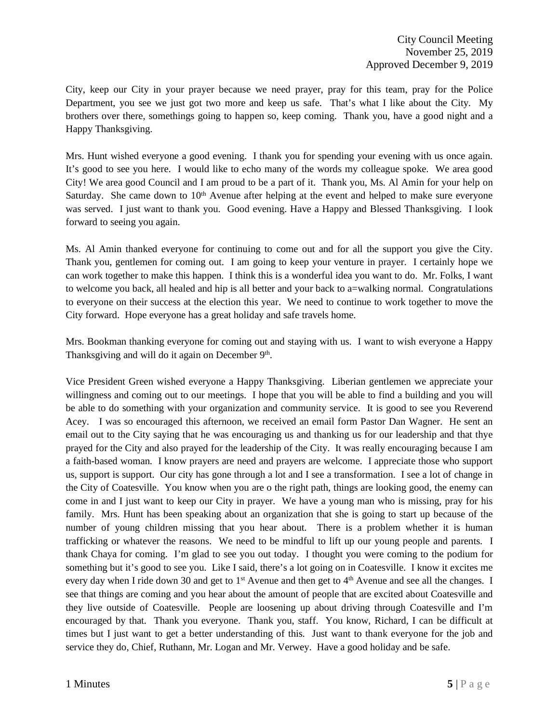City, keep our City in your prayer because we need prayer, pray for this team, pray for the Police Department, you see we just got two more and keep us safe. That's what I like about the City. My brothers over there, somethings going to happen so, keep coming. Thank you, have a good night and a Happy Thanksgiving.

Mrs. Hunt wished everyone a good evening. I thank you for spending your evening with us once again. It's good to see you here. I would like to echo many of the words my colleague spoke. We area good City! We area good Council and I am proud to be a part of it. Thank you, Ms. Al Amin for your help on Saturday. She came down to 10<sup>th</sup> Avenue after helping at the event and helped to make sure everyone was served. I just want to thank you. Good evening. Have a Happy and Blessed Thanksgiving. I look forward to seeing you again.

Ms. Al Amin thanked everyone for continuing to come out and for all the support you give the City. Thank you, gentlemen for coming out. I am going to keep your venture in prayer. I certainly hope we can work together to make this happen. I think this is a wonderful idea you want to do. Mr. Folks, I want to welcome you back, all healed and hip is all better and your back to a=walking normal. Congratulations to everyone on their success at the election this year. We need to continue to work together to move the City forward. Hope everyone has a great holiday and safe travels home.

Mrs. Bookman thanking everyone for coming out and staying with us. I want to wish everyone a Happy Thanksgiving and will do it again on December  $9<sup>th</sup>$ .

Vice President Green wished everyone a Happy Thanksgiving. Liberian gentlemen we appreciate your willingness and coming out to our meetings. I hope that you will be able to find a building and you will be able to do something with your organization and community service. It is good to see you Reverend Acey. I was so encouraged this afternoon, we received an email form Pastor Dan Wagner. He sent an email out to the City saying that he was encouraging us and thanking us for our leadership and that thye prayed for the City and also prayed for the leadership of the City. It was really encouraging because I am a faith-based woman. I know prayers are need and prayers are welcome. I appreciate those who support us, support is support. Our city has gone through a lot and I see a transformation. I see a lot of change in the City of Coatesville. You know when you are o the right path, things are looking good, the enemy can come in and I just want to keep our City in prayer. We have a young man who is missing, pray for his family. Mrs. Hunt has been speaking about an organization that she is going to start up because of the number of young children missing that you hear about. There is a problem whether it is human trafficking or whatever the reasons. We need to be mindful to lift up our young people and parents. I thank Chaya for coming. I'm glad to see you out today. I thought you were coming to the podium for something but it's good to see you. Like I said, there's a lot going on in Coatesville. I know it excites me every day when I ride down 30 and get to 1<sup>st</sup> Avenue and then get to 4<sup>th</sup> Avenue and see all the changes. I see that things are coming and you hear about the amount of people that are excited about Coatesville and they live outside of Coatesville. People are loosening up about driving through Coatesville and I'm encouraged by that. Thank you everyone. Thank you, staff. You know, Richard, I can be difficult at times but I just want to get a better understanding of this. Just want to thank everyone for the job and service they do, Chief, Ruthann, Mr. Logan and Mr. Verwey. Have a good holiday and be safe.